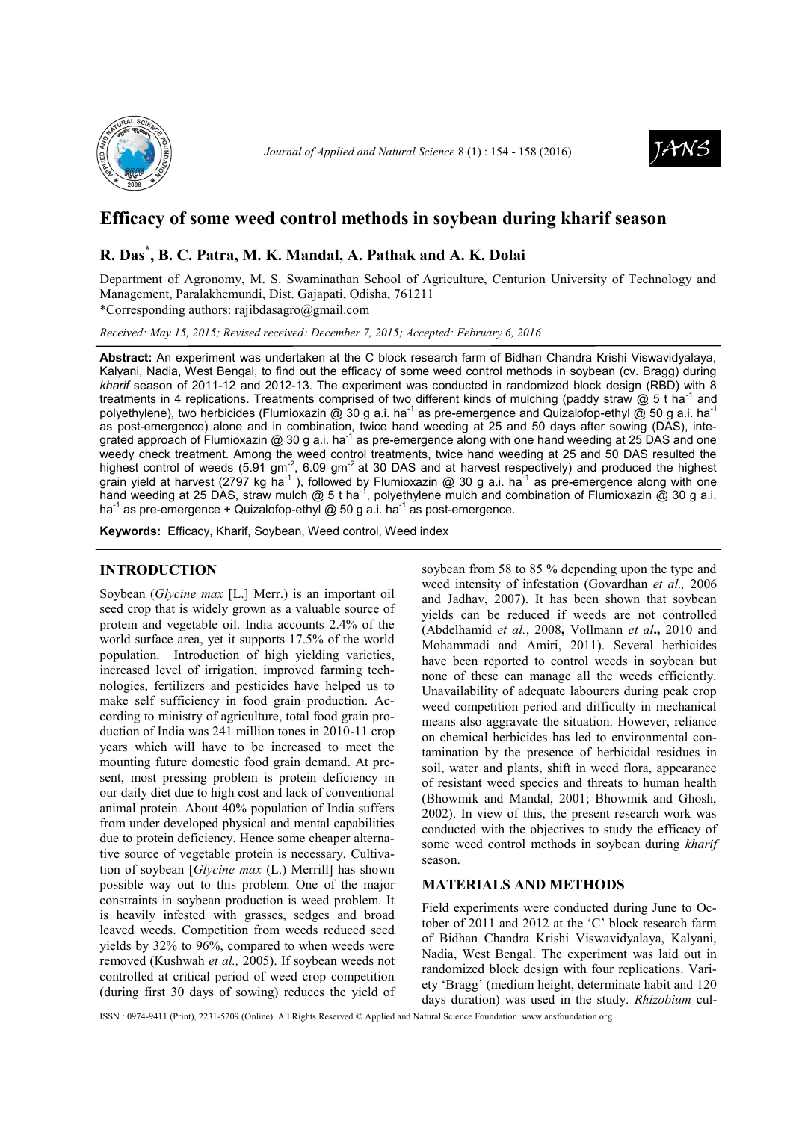



## **Efficacy of some weed control methods in soybean during kharif season**

# **R. Das\* , B. C. Patra, M. K. Mandal, A. Pathak and A. K. Dolai**

Department of Agronomy, M. S. Swaminathan School of Agriculture, Centurion University of Technology and Management, Paralakhemundi, Dist. Gajapati, Odisha, 761211 \*Corresponding authors: rajibdasagro@gmail.com

*Received: May 15, 2015; Revised received: December 7, 2015; Accepted: February 6, 2016*

**Abstract:** An experiment was undertaken at the C block research farm of Bidhan Chandra Krishi Viswavidyalaya, Kalyani, Nadia, West Bengal, to find out the efficacy of some weed control methods in soybean (cv. Bragg) during *kharif* season of 2011-12 and 2012-13. The experiment was conducted in randomized block design (RBD) with 8 treatments in 4 replications. Treatments comprised of two different kinds of mulching (paddy straw  $@$  5 t ha<sup>-1</sup> and polyethylene), two herbicides (Flumioxazin @ 30 g a.i. ha<sup>-1</sup> as pre-emergence and Quizalofop-ethyl @ 50 g a.i. ha<sup>-1</sup> as post-emergence) alone and in combination, twice hand weeding at 25 and 50 days after sowing (DAS), integrated approach of Flumioxazin @ 30 g a.i. ha<sup>-1</sup> as pre-emergence along with one hand weeding at 25 DAS and one weedy check treatment. Among the weed control treatments, twice hand weeding at 25 and 50 DAS resulted the highest control of weeds (5.91 gm<sup>-2</sup>, 6.09 gm<sup>-2</sup> at 30 DAS and at harvest respectively) and produced the highest grain yield at harvest (2797 kg ha<sup>-1</sup>), followed by Flumioxazin @ 30 g a.i. ha<sup>-1</sup> as pre-emergence along with one hand weeding at 25 DAS, straw mulch  $@$  5 t ha<sup>-1</sup>, polyethylene mulch and combination of Flumioxazin  $@$  30 g a.i. ha<sup>-1</sup> as pre-emergence + Quizalofop-ethyl  $@$  50 g a.i. ha<sup>-1</sup> as post-emergence.

**Keywords:** Efficacy, Kharif, Soybean, Weed control, Weed index

## **INTRODUCTION**

Soybean (*Glycine max* [L.] Merr.) is an important oil seed crop that is widely grown as a valuable source of protein and vegetable oil. India accounts 2.4% of the world surface area, yet it supports 17.5% of the world population. Introduction of high yielding varieties, increased level of irrigation, improved farming technologies, fertilizers and pesticides have helped us to make self sufficiency in food grain production. According to ministry of agriculture, total food grain production of India was 241 million tones in 2010-11 crop years which will have to be increased to meet the mounting future domestic food grain demand. At present, most pressing problem is protein deficiency in our daily diet due to high cost and lack of conventional animal protein. About 40% population of India suffers from under developed physical and mental capabilities due to protein deficiency. Hence some cheaper alternative source of vegetable protein is necessary. Cultivation of soybean [*Glycine max* (L.) Merrill] has shown possible way out to this problem. One of the major constraints in soybean production is weed problem. It is heavily infested with grasses, sedges and broad leaved weeds. Competition from weeds reduced seed yields by 32% to 96%, compared to when weeds were removed (Kushwah *et al.,* 2005). If soybean weeds not controlled at critical period of weed crop competition (during first 30 days of sowing) reduces the yield of soybean from 58 to 85 % depending upon the type and weed intensity of infestation (Govardhan *et al.,* 2006 and Jadhav, 2007). It has been shown that soybean yields can be reduced if weeds are not controlled (Abdelhamid *et al.*, 2008**,** Vollmann *et al***.,** 2010 and Mohammadi and Amiri, 2011). Several herbicides have been reported to control weeds in soybean but none of these can manage all the weeds efficiently. Unavailability of adequate labourers during peak crop weed competition period and difficulty in mechanical means also aggravate the situation. However, reliance on chemical herbicides has led to environmental contamination by the presence of herbicidal residues in soil, water and plants, shift in weed flora, appearance of resistant weed species and threats to human health (Bhowmik and Mandal, 2001; Bhowmik and Ghosh, 2002). In view of this, the present research work was conducted with the objectives to study the efficacy of some weed control methods in soybean during *kharif* season.

#### **MATERIALS AND METHODS**

Field experiments were conducted during June to October of 2011 and 2012 at the 'C' block research farm of Bidhan Chandra Krishi Viswavidyalaya, Kalyani, Nadia, West Bengal. The experiment was laid out in randomized block design with four replications. Variety 'Bragg' (medium height, determinate habit and 120 days duration) was used in the study. *Rhizobium* cul-

ISSN : 0974-9411 (Print), 2231-5209 (Online) All Rights Reserved © Applied and Natural Science Foundation www.ansfoundation.org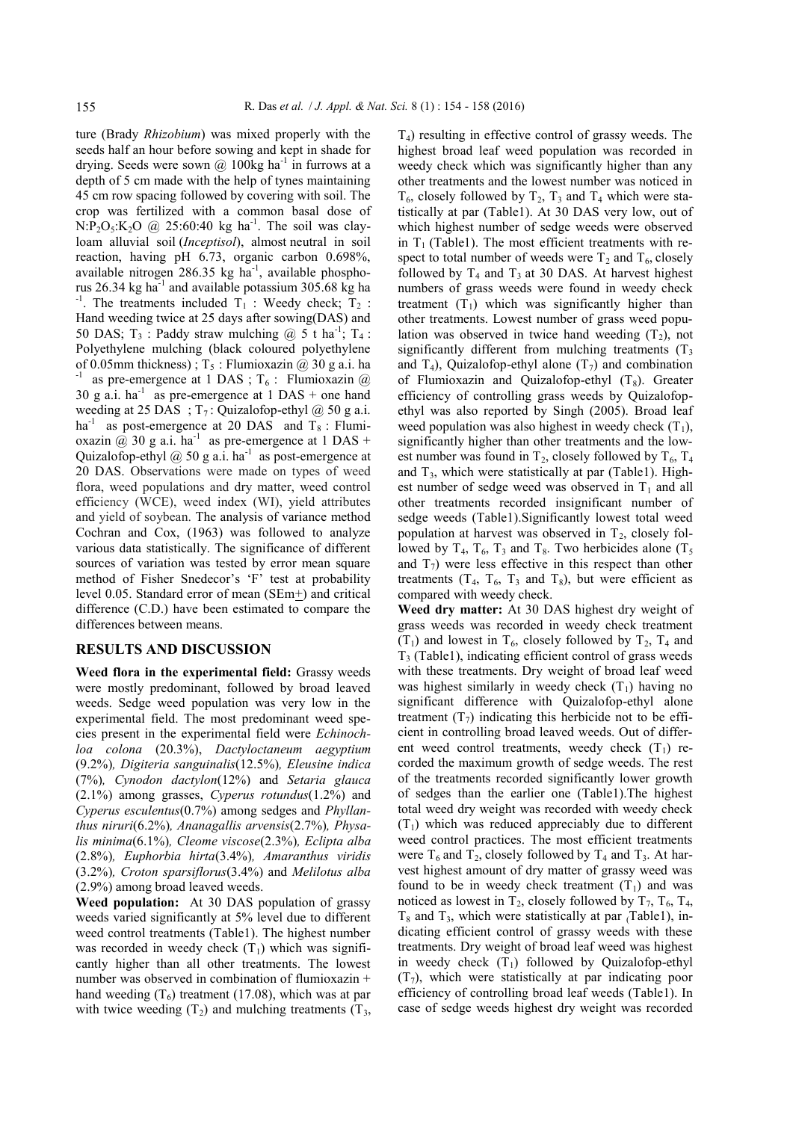ture (Brady *Rhizobium*) was mixed properly with the seeds half an hour before sowing and kept in shade for drying. Seeds were sown  $@$  100kg ha<sup>-1</sup> in furrows at a depth of 5 cm made with the help of tynes maintaining 45 cm row spacing followed by covering with soil. The crop was fertilized with a common basal dose of  $N:P_2O_5:K_2O$  @ 25:60:40 kg ha<sup>-1</sup>. The soil was clayloam alluvial soil (*Inceptisol*), almost neutral in soil reaction, having pH 6.73, organic carbon 0.698%, available nitrogen  $286.35$  kg ha<sup>-1</sup>, available phosphorus 26.34 kg ha<sup>-1</sup> and available potassium 305.68 kg ha  $-1$ . The treatments included T<sub>1</sub> : Weedy check; T<sub>2</sub> : Hand weeding twice at 25 days after sowing(DAS) and 50 DAS;  $T_3$ : Paddy straw mulching @ 5 t ha<sup>-1</sup>;  $T_4$ : Polyethylene mulching (black coloured polyethylene of 0.05mm thickness);  $T_5$ : Flumioxazin @ 30 g a.i. ha <sup>-1</sup> as pre-emergence at 1 DAS ;  $T_6$  : Flumioxazin @ 30 g a.i.  $ha^{-1}$  as pre-emergence at 1 DAS + one hand weeding at 25 DAS ;  $T_7$ : Quizalofop-ethyl @ 50 g a.i. ha<sup>-1</sup> as post-emergence at 20 DAS and  $T_8$ : Flumioxazin @ 30 g a.i. ha<sup>-1</sup> as pre-emergence at 1 DAS + Quizalofop-ethyl  $@$  50 g a.i. ha<sup>-1</sup> as post-emergence at 20 DAS. Observations were made on types of weed flora, weed populations and dry matter, weed control efficiency (WCE), weed index (WI), yield attributes and yield of soybean. The analysis of variance method Cochran and Cox, (1963) was followed to analyze various data statistically. The significance of different sources of variation was tested by error mean square method of Fisher Snedecor's 'F' test at probability level 0.05. Standard error of mean (SEm+) and critical difference (C.D.) have been estimated to compare the differences between means.

## **RESULTS AND DISCUSSION**

**Weed flora in the experimental field:** Grassy weeds were mostly predominant, followed by broad leaved weeds. Sedge weed population was very low in the experimental field. The most predominant weed species present in the experimental field were *Echinochloa colona* (20.3%), *Dactyloctaneum aegyptium* (9.2%)*, Digiteria sanguinalis*(12.5%)*, Eleusine indica* (7%)*, Cynodon dactylon*(12%) and *Setaria glauca* (2.1%) among grasses, *Cyperus rotundus*(1.2%) and *Cyperus esculentus*(0.7%) among sedges and *Phyllanthus niruri*(6.2%)*, Ananagallis arvensis*(2.7%)*, Physalis minima*(6.1%)*, Cleome viscose*(2.3%)*, Eclipta alba* (2.8%)*, Euphorbia hirta*(3.4%)*, Amaranthus viridis* (3.2%)*, Croton sparsiflorus*(3.4%) and *Melilotus alba* (2.9%) among broad leaved weeds.

**Weed population:** At 30 DAS population of grassy weeds varied significantly at 5% level due to different weed control treatments (Table1). The highest number was recorded in weedy check  $(T_1)$  which was significantly higher than all other treatments. The lowest number was observed in combination of flumioxazin + hand weeding  $(T_6)$  treatment (17.08), which was at par with twice weeding  $(T_2)$  and mulching treatments  $(T_3)$ , T4) resulting in effective control of grassy weeds. The highest broad leaf weed population was recorded in weedy check which was significantly higher than any other treatments and the lowest number was noticed in  $T_6$ , closely followed by  $T_2$ ,  $T_3$  and  $T_4$  which were statistically at par (Table1). At 30 DAS very low, out of which highest number of sedge weeds were observed in  $T_1$  (Table1). The most efficient treatments with respect to total number of weeds were  $T_2$  and  $T_6$ , closely followed by  $T_4$  and  $T_3$  at 30 DAS. At harvest highest numbers of grass weeds were found in weedy check treatment  $(T_1)$  which was significantly higher than other treatments. Lowest number of grass weed population was observed in twice hand weeding  $(T_2)$ , not significantly different from mulching treatments  $(T<sub>3</sub>)$ and  $T_4$ ), Quizalofop-ethyl alone  $(T_7)$  and combination of Flumioxazin and Quizalofop-ethyl  $(T_8)$ . Greater efficiency of controlling grass weeds by Quizalofopethyl was also reported by Singh (2005). Broad leaf weed population was also highest in weedy check  $(T_1)$ , significantly higher than other treatments and the lowest number was found in  $T_2$ , closely followed by  $T_6$ ,  $T_4$ and  $T_3$ , which were statistically at par (Table1). Highest number of sedge weed was observed in  $T_1$  and all other treatments recorded insignificant number of sedge weeds (Table1).Significantly lowest total weed population at harvest was observed in  $T_2$ , closely followed by  $T_4$ ,  $T_6$ ,  $T_3$  and  $T_8$ . Two herbicides alone  $(T_5)$ and  $T_7$ ) were less effective in this respect than other treatments  $(T_4, T_6, T_3, T_8)$ , but were efficient as compared with weedy check.

**Weed dry matter:** At 30 DAS highest dry weight of grass weeds was recorded in weedy check treatment  $(T_1)$  and lowest in T<sub>6</sub>, closely followed by T<sub>2</sub>, T<sub>4</sub> and  $T<sub>3</sub>$  (Table1), indicating efficient control of grass weeds with these treatments. Dry weight of broad leaf weed was highest similarly in weedy check  $(T_1)$  having no significant difference with Quizalofop-ethyl alone treatment  $(T_7)$  indicating this herbicide not to be efficient in controlling broad leaved weeds. Out of different weed control treatments, weedy check  $(T_1)$  recorded the maximum growth of sedge weeds. The rest of the treatments recorded significantly lower growth of sedges than the earlier one (Table1).The highest total weed dry weight was recorded with weedy check  $(T_1)$  which was reduced appreciably due to different weed control practices. The most efficient treatments were  $T_6$  and  $T_2$ , closely followed by  $T_4$  and  $T_3$ . At harvest highest amount of dry matter of grassy weed was found to be in weedy check treatment  $(T_1)$  and was noticed as lowest in  $T_2$ , closely followed by  $T_7$ ,  $T_6$ ,  $T_4$ ,  $T_8$  and  $T_3$ , which were statistically at par (Table1), indicating efficient control of grassy weeds with these treatments. Dry weight of broad leaf weed was highest in weedy check  $(T_1)$  followed by Quizalofop-ethyl  $(T<sub>7</sub>)$ , which were statistically at par indicating poor efficiency of controlling broad leaf weeds (Table1). In case of sedge weeds highest dry weight was recorded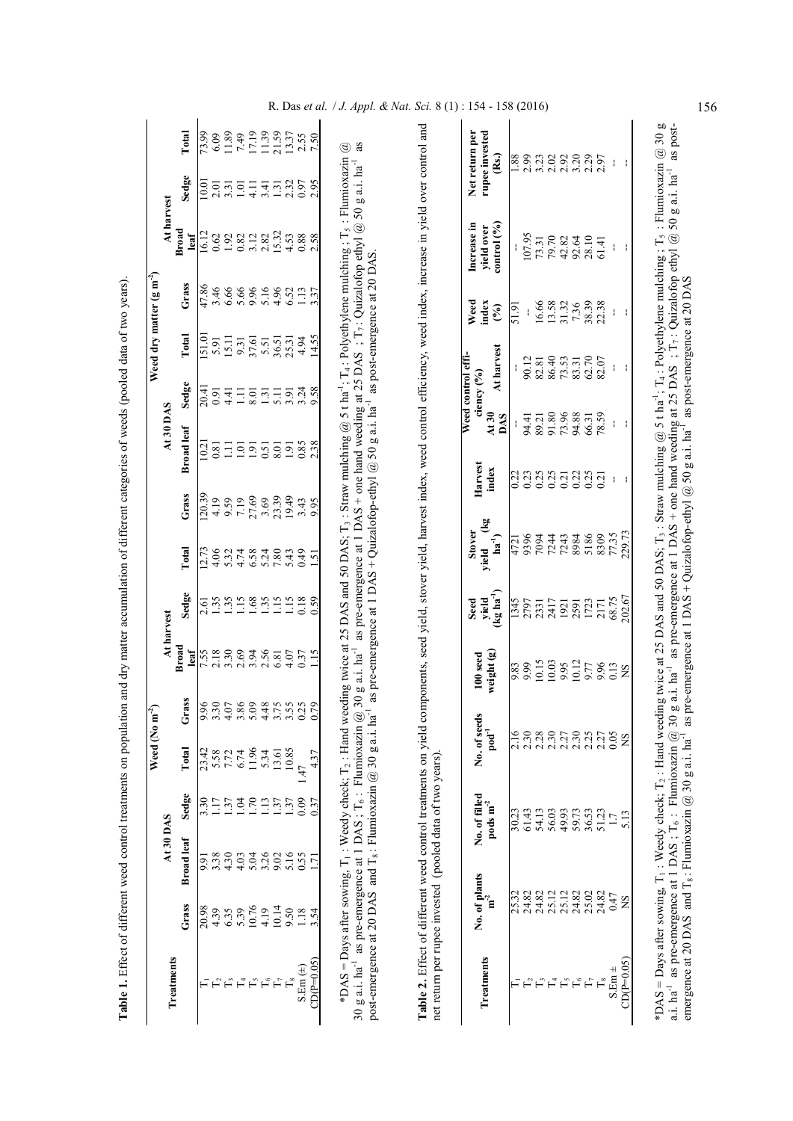|              |                        |                   |                                | Weed (No m                                            |                       |                                               |                                         |                                                                                            |                      |                                           |                                 |                                                              | Weed dry matter $(g m^2)$                                                  |                                                     |                                                                          |                                                                                             |
|--------------|------------------------|-------------------|--------------------------------|-------------------------------------------------------|-----------------------|-----------------------------------------------|-----------------------------------------|--------------------------------------------------------------------------------------------|----------------------|-------------------------------------------|---------------------------------|--------------------------------------------------------------|----------------------------------------------------------------------------|-----------------------------------------------------|--------------------------------------------------------------------------|---------------------------------------------------------------------------------------------|
| Treatments   |                        | At 30 DAS         |                                |                                                       |                       |                                               | At harvest                              |                                                                                            |                      | At30DAS                                   |                                 |                                                              |                                                                            | At harvest                                          |                                                                          |                                                                                             |
|              | Grass                  | <b>Broad</b> leaf | Sedge                          | Total                                                 | ass <sup>-</sup><br>ٿ | <b>Broad</b><br>leaf                          | Sedge                                   | Total                                                                                      | Grass                | <b>Broad</b> leaf                         | Sedge                           | Total                                                        | Grass                                                                      | <b>Broad</b><br>leaf                                | Sedge                                                                    | Total                                                                                       |
|              | 20.98                  | 5.6               | 3.30                           | 23.42                                                 |                       |                                               |                                         | 12.73                                                                                      | 20.39                | 10.2                                      | 20.41                           |                                                              |                                                                            | 16.12                                               | 10.01                                                                    | 73.99                                                                                       |
|              | 4.39                   | 3.38              | 17                             | 5.58                                                  |                       |                                               | $2.\overline{61}$<br>1.35               | 4.06                                                                                       | 4.19                 | 0.81                                      | 0.91                            | $\frac{51.01}{5.91}$                                         | 47.86<br>3.46                                                              | 0.62                                                | 2.01                                                                     | 6.09                                                                                        |
|              | 6.35                   | 4.30              | 1.37                           | 7.72                                                  |                       | 523094621<br>5369462                          | 1.35                                    |                                                                                            | 9.59                 | $\Xi$                                     | 4.41                            | $\begin{array}{c} 15.11 \\ 9.31 \\ 5.51 \\ 5.51 \end{array}$ | 6.66                                                                       | 19221282                                            | 3.31                                                                     | 11.89                                                                                       |
| $\Gamma_4$   | 5.39                   | 4.03              | 1.04                           | 6.74                                                  |                       |                                               | 1.15                                    |                                                                                            |                      |                                           |                                 |                                                              |                                                                            |                                                     | $1.01\,$                                                                 |                                                                                             |
|              | 10.76                  | 5.04              | 1.70                           | 11.96                                                 |                       |                                               | $1.68$<br>$1.15$                        | 51780<br>51780<br>51780                                                                    | $\frac{7.19}{27.69}$ | $\frac{5}{1}$ $\frac{5}{9}$ $\frac{5}{1}$ |                                 |                                                              | $8898$<br>$0899$<br>$0999$                                                 |                                                     | $\frac{11}{4}$ $\frac{41}{3}$ $\frac{13}{3}$ $\frac{3}{2}$ $\frac{5}{2}$ | $\begin{array}{c} 7.49 \\ 17.19 \\ 11.39 \\ 21.59 \\ 13.37 \\ 13.57 \\ 7.50 \\ \end{array}$ |
| $\mathbb{H}$ | 4.19                   | 3.26              | 113                            | 5.34                                                  |                       |                                               |                                         |                                                                                            |                      |                                           |                                 |                                                              |                                                                            |                                                     |                                                                          |                                                                                             |
|              | 10.14                  | 9.02              | 1.37                           | 13.61                                                 |                       |                                               |                                         |                                                                                            | 23.39                | 8.01                                      |                                 | 36.51<br>25.31<br>4.94                                       |                                                                            | 15.32                                               |                                                                          |                                                                                             |
|              | 9.50                   | 5.16              | 1.37                           | 10.85                                                 |                       | 4.07<br>0.37                                  | 1.15                                    | 5.43                                                                                       |                      | 1.91<br>0.85                              | $3,38$<br>$3,38$                |                                                              | 6.52                                                                       | $\begin{array}{c} 4.53 \\ 0.88 \\ 2.58 \end{array}$ |                                                                          |                                                                                             |
| $S.Em (\pm)$ | 1.18                   | 0.55              | 0.09                           | 1.47                                                  |                       |                                               | 0.18                                    | 64.0                                                                                       |                      |                                           |                                 |                                                              |                                                                            |                                                     |                                                                          |                                                                                             |
| $CDP = 0.05$ | 3.54                   | $\overline{171}$  | 0.37                           | 4.37                                                  |                       | 1.15                                          | 0.59                                    | 1.51                                                                                       | $3.43$<br>9.95       | 2.38                                      |                                 | 14.55                                                        | 1.13<br>3.37                                                               |                                                     | 2.95                                                                     |                                                                                             |
| Treatments   | No. of plants<br>$m-2$ |                   | No. of filled<br>pods $m^{-2}$ | No. of seeds<br>$\mathbf{p}\mathbf{p}\mathbf{d}^{-1}$ |                       | weight (g)<br>$100$ seed                      | $(\text{kg ha}^{-1})$<br>Seed<br>yield  | $\begin{array}{c} \left(kg\right. \\ ha^{-1}\right) \end{array}$<br><b>Stover</b><br>yield | Harvest<br>index     | At30<br>DAS                               | Weed control effi<br>ciency (%) | At harvest                                                   | Weed<br>index<br>$\mathcal{E}$                                             | control(%)<br>Increase in<br>yield over             |                                                                          | rupee invested<br>Net return per<br>$\rm \hat{R}$                                           |
|              | 25.32                  |                   | 30.23                          | 2.16                                                  |                       |                                               | 1345                                    |                                                                                            | 0.22                 |                                           |                                 |                                                              | 51.91                                                                      |                                                     |                                                                          | 88.1                                                                                        |
|              | 24.82                  |                   | 61.43                          | 2.30                                                  |                       | $\frac{83}{9.99}$                             | 2797                                    | 4721<br>9396<br>7094                                                                       | 0.23                 | 94.41                                     |                                 | 90.12                                                        |                                                                            | 107.95                                              |                                                                          | 2.99                                                                                        |
|              | 24.82                  |                   | 54.13                          | 2.28                                                  |                       | 10.15                                         | 2331                                    |                                                                                            | 0.25                 |                                           |                                 |                                                              |                                                                            | 73.31                                               |                                                                          |                                                                                             |
| $\Gamma_4$   | 25.12                  |                   | 56.03                          | 2.30                                                  |                       |                                               | 2417                                    | 7244                                                                                       | 0.25                 | 89.21<br>91.80                            |                                 | 8240<br>8453<br>8525<br>8262                                 | $\begin{array}{c} 16.66 \\ 13.58 \\ 31.32 \\ 7.36 \\ 38.39 \\ \end{array}$ | 79.70                                               |                                                                          | $3.23$<br>$2.02$                                                                            |
| $F_{\rm s}$  | 25.12                  |                   | 49.93                          | 2.30<br>2.30<br>2.25                                  |                       |                                               |                                         |                                                                                            | $0.21$<br>$0.22$     |                                           |                                 |                                                              |                                                                            |                                                     |                                                                          |                                                                                             |
| $\Gamma_{6}$ | 24.82                  |                   | 59.73                          |                                                       |                       |                                               |                                         |                                                                                            |                      |                                           |                                 |                                                              |                                                                            |                                                     |                                                                          |                                                                                             |
|              | 25.02                  |                   | 36.53                          |                                                       |                       |                                               |                                         | 7243<br>8984<br>5186<br>5309                                                               | $\frac{0.25}{0.21}$  | 73.96<br>94.31<br>96.31<br>78.59          |                                 |                                                              |                                                                            | $4282$<br>$42810$<br>$5810$<br>$514$                |                                                                          | 23235<br>23257                                                                              |
|              | 24.82                  |                   | 51.23                          | 2.27                                                  |                       |                                               |                                         |                                                                                            |                      |                                           |                                 |                                                              |                                                                            |                                                     |                                                                          |                                                                                             |
| $S.Em \pm$   | 0.47                   |                   |                                | 0.05                                                  |                       | 10.03<br>9.95<br>9.77<br>9.96<br>9.13<br>9.13 | 1921<br>2591<br>1723<br>202.67<br>68.75 | 77.35                                                                                      |                      |                                           |                                 |                                                              |                                                                            |                                                     |                                                                          |                                                                                             |
| $CD(P=0.05)$ | SN                     |                   |                                | SN                                                    |                       |                                               |                                         |                                                                                            |                      |                                           |                                 |                                                              |                                                                            |                                                     |                                                                          |                                                                                             |

\*DAS = Days after sowing, T<sub>1</sub>: Weedy check; T<sub>2</sub>: Hand weeding twice at 25 DAS and 50 DAS; T<sub>3</sub>: Straw mulching @ 5 t ha<sup>-1</sup>; T<sub>4</sub>: Polyethylene mulching; T<sub>5</sub>: Flumioxazin @ 30 g<br>a.i. ha<sup>-1</sup> as pre-emergence at 1 DAS; T \*DAS = Days after sowing, T<sub>1</sub> : Weedy check; T<sub>2</sub> : Hand weeding twice at 25 DAS and 50 DAS; T<sub>3</sub> : Straw mulching @ 5 t ha<sup>-1</sup>; T4 : Polyethylene mulching ; T<sub>5</sub> : Flumioxazin @ 30 g a.i. ha<sup>-1</sup> as pre-emergence at 1 DAS ; T<sub>6</sub> : Flumioxazin @ 30 g a.i. ha<sup>-1</sup> as pre-emergence at 1 DAS + one hand weeding at 25 DAS ; T7 : Quizalofop ethyl @ 50 g a.i. ha<sup>-1</sup> as postemergence at 20 DAS and T<sub>8</sub>: Flumioxazin @ 30 g a.i. ha<sup>-1</sup> as pre-emergence at 1 DAS + Quizalofop-ethyl @ 50 g a.i. ha<sup>-1</sup> as post-emergence at 20 DAS

R. Das *et al. | J. Appl. & Nat. Sci.* 8 (1) : 154 - 158 (2016) 156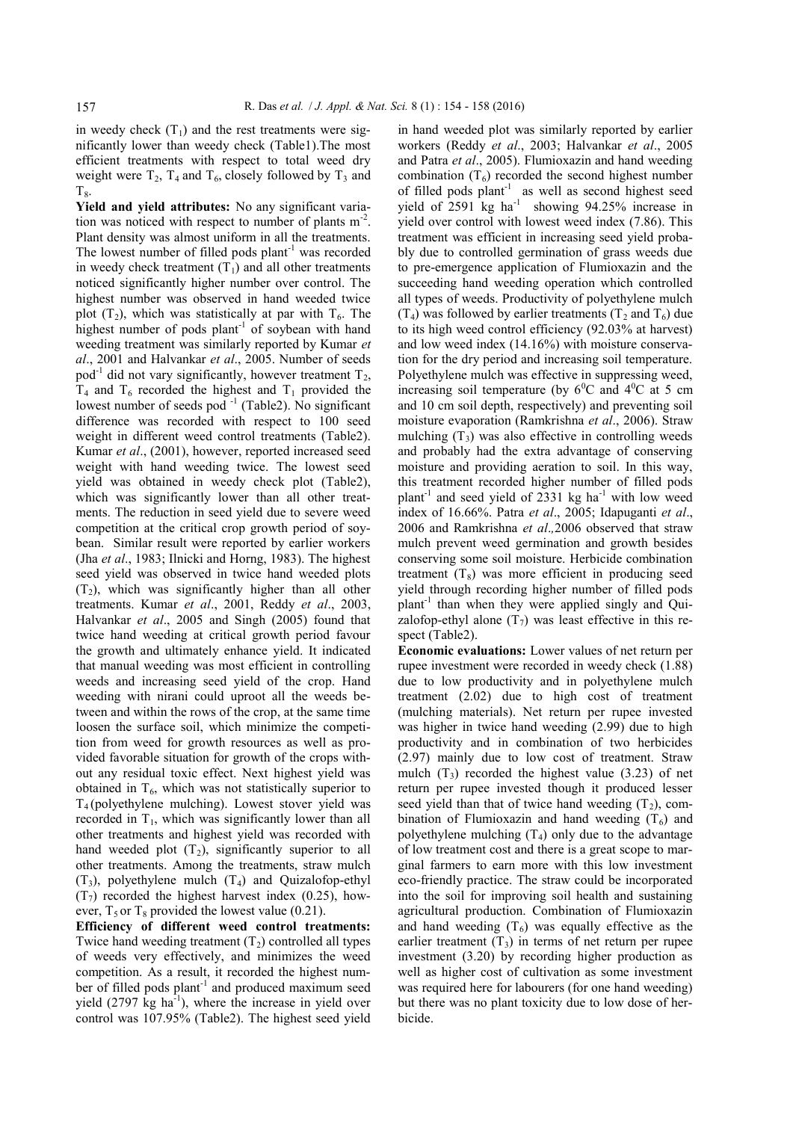in weedy check  $(T_1)$  and the rest treatments were significantly lower than weedy check (Table1).The most efficient treatments with respect to total weed dry weight were  $T_2$ ,  $T_4$  and  $T_6$ , closely followed by  $T_3$  and  $T_8$ .

Yield and yield attributes: No any significant variation was noticed with respect to number of plants  $m<sup>-2</sup>$ . Plant density was almost uniform in all the treatments. The lowest number of filled pods  $plant^{-1}$  was recorded in weedy check treatment  $(T_1)$  and all other treatments noticed significantly higher number over control. The highest number was observed in hand weeded twice plot  $(T_2)$ , which was statistically at par with  $T_6$ . The highest number of pods plant<sup>-1</sup> of soybean with hand weeding treatment was similarly reported by Kumar *et al*., 2001 and Halvankar *et al*., 2005. Number of seeds pod<sup>-1</sup> did not vary significantly, however treatment  $T_2$ ,  $T_4$  and  $T_6$  recorded the highest and  $T_1$  provided the lowest number of seeds pod<sup>-1</sup> (Table2). No significant difference was recorded with respect to 100 seed weight in different weed control treatments (Table2). Kumar *et al*., (2001), however, reported increased seed weight with hand weeding twice. The lowest seed yield was obtained in weedy check plot (Table2), which was significantly lower than all other treatments. The reduction in seed yield due to severe weed competition at the critical crop growth period of soybean. Similar result were reported by earlier workers (Jha *et al*., 1983; Ilnicki and Horng, 1983). The highest seed yield was observed in twice hand weeded plots  $(T_2)$ , which was significantly higher than all other treatments. Kumar *et al*., 2001, Reddy *et al*., 2003, Halvankar *et al*., 2005 and Singh (2005) found that twice hand weeding at critical growth period favour the growth and ultimately enhance yield. It indicated that manual weeding was most efficient in controlling weeds and increasing seed yield of the crop. Hand weeding with nirani could uproot all the weeds between and within the rows of the crop, at the same time loosen the surface soil, which minimize the competition from weed for growth resources as well as provided favorable situation for growth of the crops without any residual toxic effect. Next highest yield was obtained in  $T<sub>6</sub>$ , which was not statistically superior to  $T_4$  (polyethylene mulching). Lowest stover yield was recorded in  $T_1$ , which was significantly lower than all other treatments and highest yield was recorded with hand weeded plot  $(T_2)$ , significantly superior to all other treatments. Among the treatments, straw mulch  $(T_3)$ , polyethylene mulch  $(T_4)$  and Quizalofop-ethyl  $(T<sub>7</sub>)$  recorded the highest harvest index (0.25), however,  $T_5$  or  $T_8$  provided the lowest value (0.21).

**Efficiency of different weed control treatments:**  Twice hand weeding treatment  $(T_2)$  controlled all types of weeds very effectively, and minimizes the weed competition. As a result, it recorded the highest number of filled pods plant<sup>-1</sup> and produced maximum seed yield  $(2797 \text{ kg ha}^{-1})$ , where the increase in yield over control was 107.95% (Table2). The highest seed yield in hand weeded plot was similarly reported by earlier workers (Reddy *et al*., 2003; Halvankar *et al*., 2005 and Patra *et al*., 2005). Flumioxazin and hand weeding combination  $(T_6)$  recorded the second highest number of filled pods plant<sup>-1</sup> as well as second highest seed yield of  $2591$  kg ha<sup>-1</sup> showing  $94.25\%$  increase in yield over control with lowest weed index (7.86). This treatment was efficient in increasing seed yield probably due to controlled germination of grass weeds due to pre-emergence application of Flumioxazin and the succeeding hand weeding operation which controlled all types of weeds. Productivity of polyethylene mulch  $(T_4)$  was followed by earlier treatments  $(T_2$  and  $T_6)$  due to its high weed control efficiency (92.03% at harvest) and low weed index (14.16%) with moisture conservation for the dry period and increasing soil temperature. Polyethylene mulch was effective in suppressing weed, increasing soil temperature (by  $6^{\circ}$ C and  $4^{\circ}$ C at 5 cm and 10 cm soil depth, respectively) and preventing soil moisture evaporation (Ramkrishna *et al*., 2006). Straw mulching  $(T_3)$  was also effective in controlling weeds and probably had the extra advantage of conserving moisture and providing aeration to soil. In this way, this treatment recorded higher number of filled pods plant<sup>-1</sup> and seed yield of 2331 kg ha<sup>-1</sup> with low weed index of 16.66%. Patra *et al*., 2005; Idapuganti *et al*., 2006 and Ramkrishna *et al*.*,*2006 observed that straw mulch prevent weed germination and growth besides conserving some soil moisture. Herbicide combination treatment  $(T_8)$  was more efficient in producing seed yield through recording higher number of filled pods plant<sup>-1</sup> than when they were applied singly and Quizalofop-ethyl alone  $(T_7)$  was least effective in this respect (Table2).

**Economic evaluations:** Lower values of net return per rupee investment were recorded in weedy check (1.88) due to low productivity and in polyethylene mulch treatment (2.02) due to high cost of treatment (mulching materials). Net return per rupee invested was higher in twice hand weeding (2.99) due to high productivity and in combination of two herbicides (2.97) mainly due to low cost of treatment. Straw mulch  $(T_3)$  recorded the highest value (3.23) of net return per rupee invested though it produced lesser seed yield than that of twice hand weeding  $(T_2)$ , combination of Flumioxazin and hand weeding  $(T_6)$  and polyethylene mulching  $(T_4)$  only due to the advantage of low treatment cost and there is a great scope to marginal farmers to earn more with this low investment eco-friendly practice. The straw could be incorporated into the soil for improving soil health and sustaining agricultural production. Combination of Flumioxazin and hand weeding  $(T_6)$  was equally effective as the earlier treatment  $(T_3)$  in terms of net return per rupee investment (3.20) by recording higher production as well as higher cost of cultivation as some investment was required here for labourers (for one hand weeding) but there was no plant toxicity due to low dose of herbicide.